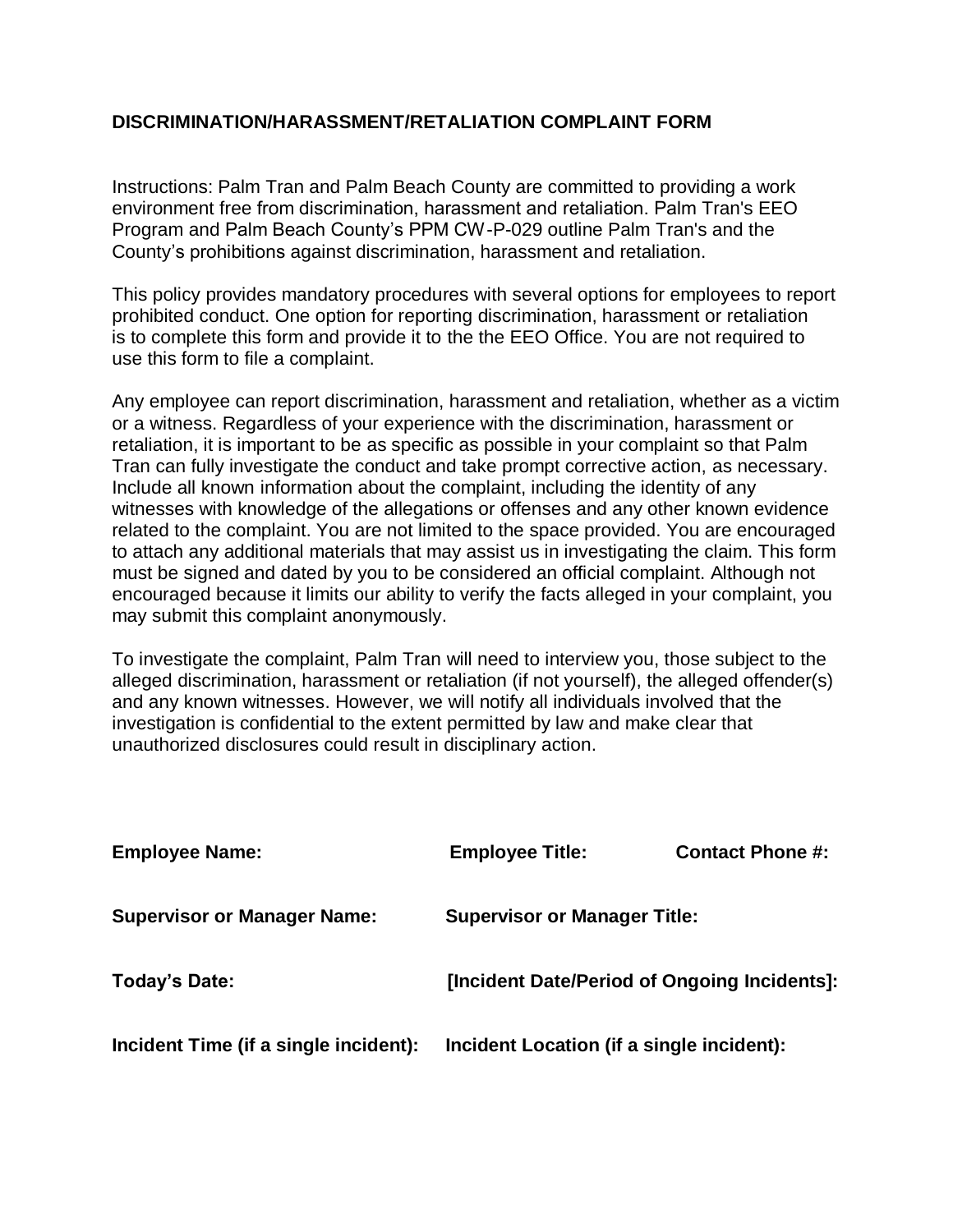## **DISCRIMINATION/HARASSMENT/RETALIATION COMPLAINT FORM**

County's prohibitions against discrimination, harassment and retaliation. Program and Palm Beach County's PPM CW-P-029 outline Palm Tran's and the environment free from discrimination, harassment and retaliation. Palm Tran's EEO Instructions: Palm Tran and Palm Beach County are committed to providing a work

use this form to file a complaint. is to complete this form and provide it to the the EEO Office. You are not required to prohibited conduct. One option for reporting discrimination, harassment or retaliation This policy provides mandatory procedures with several options for employees to report

may submit this complaint anonymously. encouraged because it limits our ability to verify the facts alleged in your complaint, you must be signed and dated by you to be considered an official complaint. Although not to attach any additional materials that may assist us in investigating the claim. This form related to the complaint. You are not limited to the space provided. You are encouraged witnesses with knowledge of the allegations or offenses and any other known evidence Include all known information about the complaint, including the identity of any Tran can fully investigate the conduct and take prompt corrective action, as necessary. retaliation, it is important to be as specific as possible in your complaint so that Palm or a witness. Regardless of your experience with the discrimination, harassment or Any employee can report discrimination, harassment and retaliation, whether as a victim

unauthorized disclosures could result in disciplinary action. investigation is confidential to the extent permitted by law and make clear that and any known witnesses. However, we will notify all individuals involved that the alleged discrimination, harassment or retaliation (if not yourself), the alleged offender(s) To investigate the complaint, Palm Tran will need to interview you, those subject to the

| <b>Employee Name:</b>                 | <b>Employee Title:</b>                       | <b>Contact Phone #:</b> |
|---------------------------------------|----------------------------------------------|-------------------------|
| <b>Supervisor or Manager Name:</b>    | <b>Supervisor or Manager Title:</b>          |                         |
| Today's Date:                         | [Incident Date/Period of Ongoing Incidents]: |                         |
| Incident Time (if a single incident): | Incident Location (if a single incident):    |                         |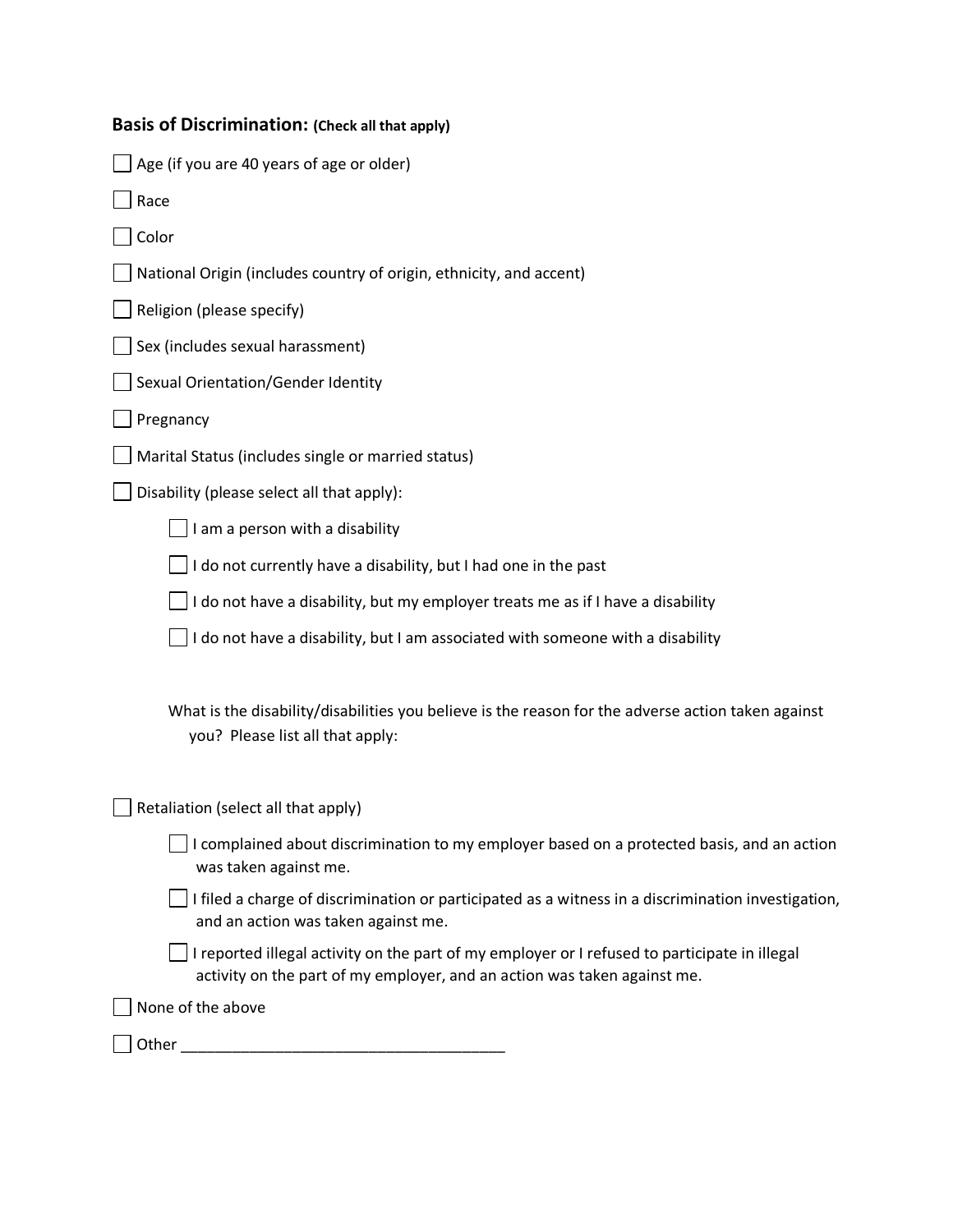| Basis of Discrimination: (Check all that apply) |  |
|-------------------------------------------------|--|
|-------------------------------------------------|--|

| Age (if you are 40 years of age or older)                                                                                                                                 |
|---------------------------------------------------------------------------------------------------------------------------------------------------------------------------|
| Race                                                                                                                                                                      |
| Color                                                                                                                                                                     |
| National Origin (includes country of origin, ethnicity, and accent)                                                                                                       |
| Religion (please specify)                                                                                                                                                 |
| Sex (includes sexual harassment)                                                                                                                                          |
| Sexual Orientation/Gender Identity                                                                                                                                        |
| Pregnancy                                                                                                                                                                 |
| Marital Status (includes single or married status)                                                                                                                        |
| Disability (please select all that apply):                                                                                                                                |
| I am a person with a disability                                                                                                                                           |
| I do not currently have a disability, but I had one in the past                                                                                                           |
| I do not have a disability, but my employer treats me as if I have a disability                                                                                           |
| I do not have a disability, but I am associated with someone with a disability                                                                                            |
| What is the disability/disabilities you believe is the reason for the adverse action taken against<br>you? Please list all that apply:                                    |
| Retaliation (select all that apply)                                                                                                                                       |
| $\Box$ I complained about discrimination to my employer based on a protected basis, and an action<br>was taken against me.                                                |
| $\Box$ I filed a charge of discrimination or participated as a witness in a discrimination investigation,<br>and an action was taken against me.                          |
| I reported illegal activity on the part of my employer or I refused to participate in illegal<br>activity on the part of my employer, and an action was taken against me. |
| None of the above                                                                                                                                                         |
| Other                                                                                                                                                                     |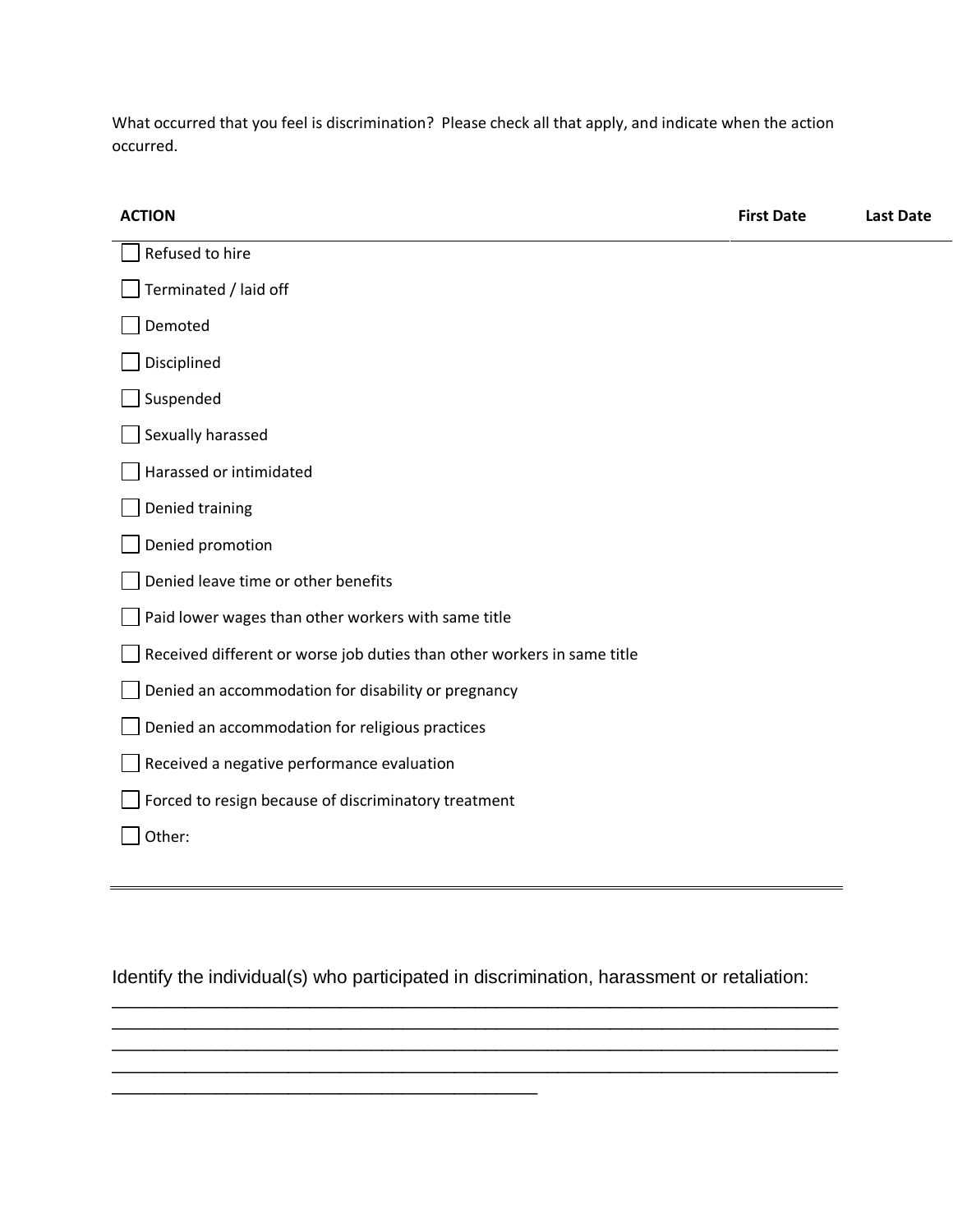What occurred that you feel is discrimination? Please check all that apply, and indicate when the action occurred.

| <b>ACTION</b>                                                           | <b>First Date</b> | <b>Last Date</b> |
|-------------------------------------------------------------------------|-------------------|------------------|
| Refused to hire                                                         |                   |                  |
| Terminated / laid off                                                   |                   |                  |
| Demoted                                                                 |                   |                  |
| Disciplined                                                             |                   |                  |
| Suspended                                                               |                   |                  |
| Sexually harassed                                                       |                   |                  |
| Harassed or intimidated                                                 |                   |                  |
| Denied training                                                         |                   |                  |
| Denied promotion                                                        |                   |                  |
| Denied leave time or other benefits                                     |                   |                  |
| Paid lower wages than other workers with same title                     |                   |                  |
| Received different or worse job duties than other workers in same title |                   |                  |
| Denied an accommodation for disability or pregnancy                     |                   |                  |
| Denied an accommodation for religious practices                         |                   |                  |
| Received a negative performance evaluation                              |                   |                  |
| Forced to resign because of discriminatory treatment                    |                   |                  |
| Other:                                                                  |                   |                  |
|                                                                         |                   |                  |

Identify the individual(s) who participated in discrimination, harassment or retaliation:

\_\_\_\_\_\_\_\_\_\_\_\_\_\_\_\_\_\_\_\_\_\_\_\_\_\_\_\_\_\_\_\_\_\_\_\_\_\_\_\_\_

\_\_\_\_\_\_\_\_\_\_\_\_\_\_\_\_\_\_\_\_\_\_\_\_\_\_\_\_\_\_\_\_\_\_\_\_\_\_\_\_\_\_\_\_\_\_\_\_\_\_\_\_\_\_\_\_\_\_\_\_\_\_\_\_\_\_\_\_\_\_ \_\_\_\_\_\_\_\_\_\_\_\_\_\_\_\_\_\_\_\_\_\_\_\_\_\_\_\_\_\_\_\_\_\_\_\_\_\_\_\_\_\_\_\_\_\_\_\_\_\_\_\_\_\_\_\_\_\_\_\_\_\_\_\_\_\_\_\_\_\_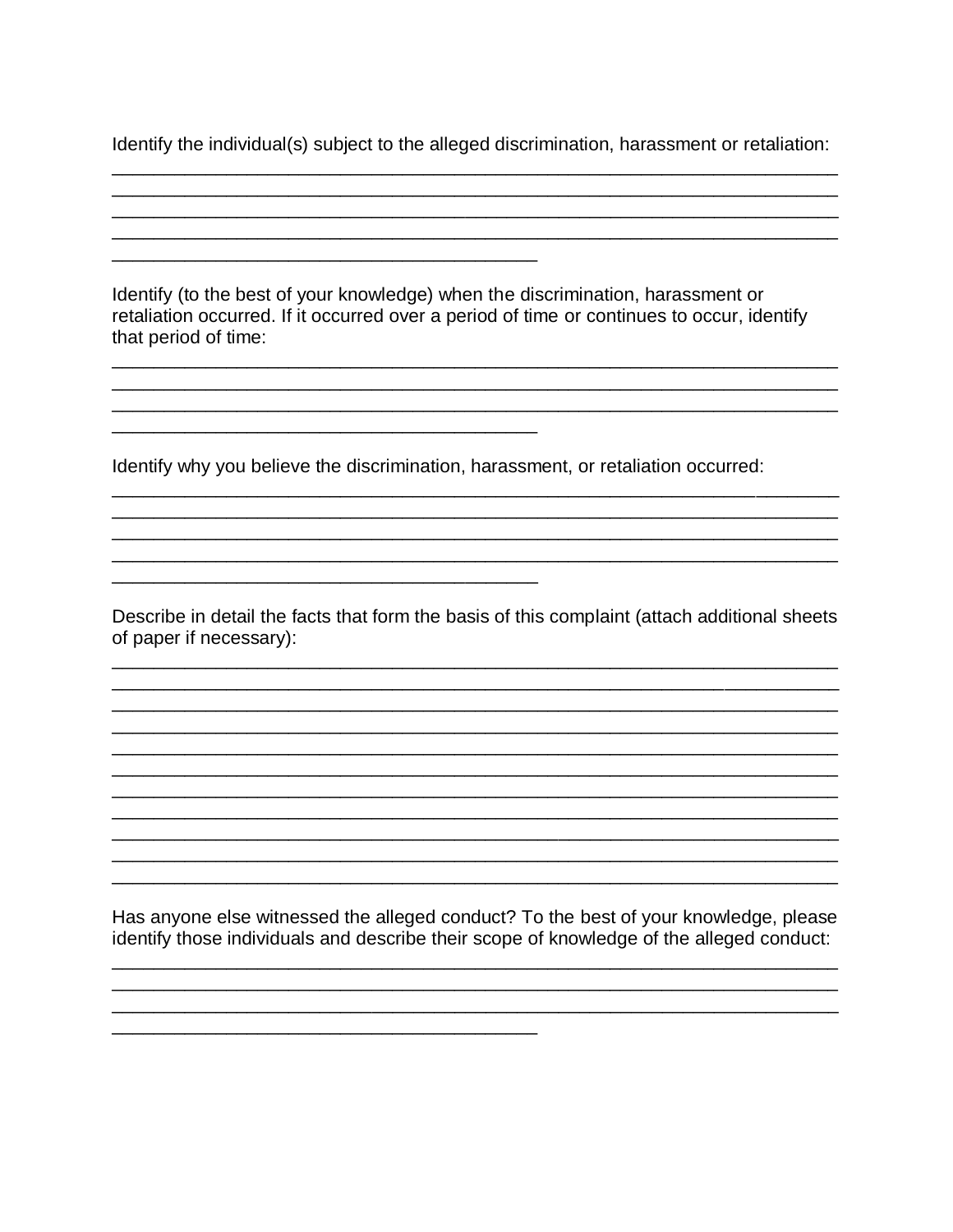Identify the individual(s) subject to the alleged discrimination, harassment or retaliation:

<u> 1989 - Johann John Stone, markin amerikan bestema dalam penyakan berasal dalam besar dalam besar dalam besar</u>

Identify (to the best of your knowledge) when the discrimination, harassment or retaliation occurred. If it occurred over a period of time or continues to occur, identify that period of time:

Identify why you believe the discrimination, harassment, or retaliation occurred:

Describe in detail the facts that form the basis of this complaint (attach additional sheets of paper if necessary):

Has anyone else witnessed the alleged conduct? To the best of your knowledge, please identify those individuals and describe their scope of knowledge of the alleged conduct: